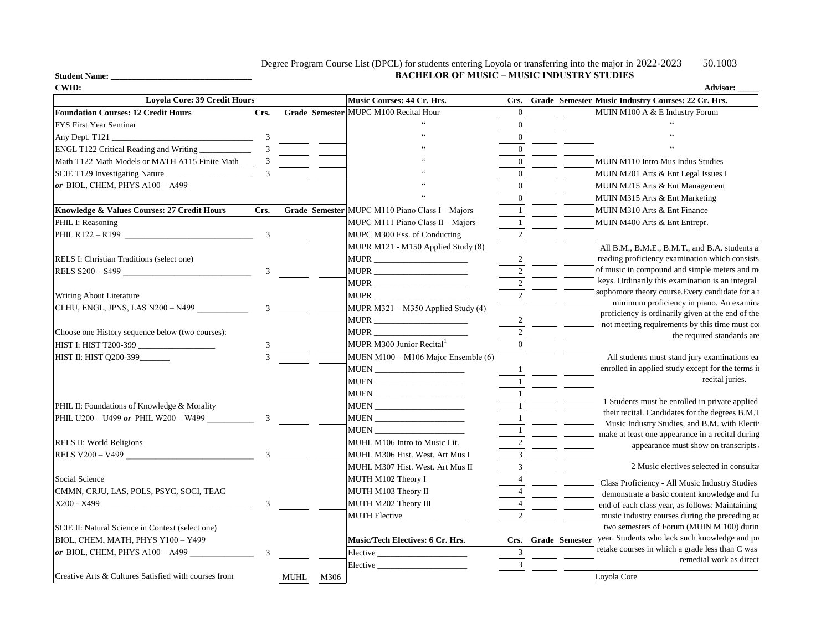## Degree Program Course List (DPCL) for students entering Loyola or transferring into the major in 2022-2023 50.1003 **BACHELOR OF MUSIC – MUSIC INDUSTRY STUDIES**

| <b>CWID:</b>                                         |                |              |                                                 |                |                     | Advisor: $\frac{ }{ }$                                                                            |
|------------------------------------------------------|----------------|--------------|-------------------------------------------------|----------------|---------------------|---------------------------------------------------------------------------------------------------|
| <b>Loyola Core: 39 Credit Hours</b>                  |                |              | Music Courses: 44 Cr. Hrs.                      |                |                     | Crs. Grade Semester Music Industry Courses: 22 Cr. Hrs.                                           |
| <b>Foundation Courses: 12 Credit Hours</b>           | Crs.           |              | Grade Semester MUPC M100 Recital Hour           | $\overline{0}$ |                     | MUIN M100 A & E Industry Forum                                                                    |
| <b>FYS First Year Seminar</b>                        |                |              |                                                 | $\overline{0}$ |                     |                                                                                                   |
| $\frac{1}{\sqrt{3}}$<br>Any Dept. T121_              |                |              |                                                 | $\mathbf{0}$   |                     |                                                                                                   |
| ENGL T122 Critical Reading and Writing __________    | $\overline{3}$ |              |                                                 | $\mathbf{0}$   |                     |                                                                                                   |
|                                                      |                |              |                                                 | $\overline{0}$ |                     | MUIN M110 Intro Mus Indus Studies                                                                 |
| SCIE T129 Investigating Nature                       | 3              |              |                                                 | $\Omega$       |                     | MUIN M201 Arts & Ent Legal Issues I                                                               |
| or BIOL, CHEM, PHYS A100 - A499                      |                |              |                                                 | $\theta$       |                     | MUIN M215 Arts & Ent Management                                                                   |
|                                                      |                |              |                                                 | $\overline{0}$ |                     | MUIN M315 Arts & Ent Marketing                                                                    |
| Knowledge & Values Courses: 27 Credit Hours          | Crs.           |              | Grade Semester MUPC M110 Piano Class I - Majors | $\overline{1}$ |                     | MUIN M310 Arts & Ent Finance                                                                      |
| PHIL I: Reasoning                                    |                |              | MUPC M111 Piano Class $II - Majors$             | $\overline{1}$ |                     | MUIN M400 Arts & Ent Entrepr.                                                                     |
| PHIL R122 - R199                                     | $\mathbf{3}$   |              | MUPC M300 Ess. of Conducting                    | $\overline{2}$ |                     |                                                                                                   |
|                                                      |                |              | MUPR M121 - M150 Applied Study (8)              |                |                     | All B.M., B.M.E., B.M.T., and B.A. students as                                                    |
| RELS I: Christian Traditions (select one)            |                |              |                                                 | $\overline{2}$ |                     | reading proficiency examination which consists                                                    |
| RELS S200 - S499                                     | 3 <sup>7</sup> |              | MUPR _____________________                      | $\overline{2}$ |                     | of music in compound and simple meters and m                                                      |
|                                                      |                |              | MUPR _____________________                      | $\sqrt{2}$     |                     | keys. Ordinarily this examination is an integral                                                  |
| Writing About Literature                             |                |              |                                                 | $\sqrt{2}$     |                     | sophomore theory course. Every candidate for a 1                                                  |
| CLHU, ENGL, JPNS, LAS N200 - N499                    | 3 <sup>7</sup> |              | MUPR M321 - M350 Applied Study (4)              |                |                     | minimum proficiency in piano. An examina                                                          |
|                                                      |                |              | MUPR ________________________                   |                |                     | proficiency is ordinarily given at the end of the                                                 |
| Choose one History sequence below (two courses):     |                |              | MUPR <sub>____________________________</sub>    | $\frac{2}{2}$  |                     | not meeting requirements by this time must co                                                     |
| HIST I: HIST T200-399                                | 3              |              | MUPR M300 Junior Recital                        | $\Omega$       |                     | the required standards are                                                                        |
| HIST II: HIST Q200-399                               | $\mathbf{3}$   |              | MUEN M100 - M106 Major Ensemble (6)             |                |                     | All students must stand jury examinations ea                                                      |
|                                                      |                |              | MUEN _________________________                  |                |                     | enrolled in applied study except for the terms in                                                 |
|                                                      |                |              |                                                 |                |                     | recital juries.                                                                                   |
|                                                      |                |              |                                                 | $\mathbf{1}$   |                     |                                                                                                   |
| PHIL II: Foundations of Knowledge & Morality         |                |              |                                                 | $\overline{1}$ |                     | 1 Students must be enrolled in private applied                                                    |
| PHIL U200 – U499 or PHIL W200 – W499                 | $\overline{3}$ |              |                                                 | $\overline{1}$ |                     | their recital. Candidates for the degrees B.M.T                                                   |
|                                                      |                |              |                                                 | $\overline{1}$ |                     | Music Industry Studies, and B.M. with Electiv                                                     |
| RELS II: World Religions                             |                |              | MUHL M106 Intro to Music Lit.                   | $\sqrt{2}$     |                     | make at least one appearance in a recital during                                                  |
| RELS V200 - V499                                     |                |              | MUHL M306 Hist. West. Art Mus I                 | $\mathfrak{Z}$ |                     | appearance must show on transcripts                                                               |
|                                                      |                |              | MUHL M307 Hist. West. Art Mus II                | $\overline{3}$ |                     | 2 Music electives selected in consultat                                                           |
| Social Science                                       |                |              | MUTH M102 Theory I                              | $\overline{4}$ |                     |                                                                                                   |
| CMMN, CRJU, LAS, POLS, PSYC, SOCI, TEAC              |                |              | MUTH M103 Theory II                             | $\overline{4}$ |                     | Class Proficiency - All Music Industry Studies                                                    |
| $X200 - X499$                                        | 3 <sup>7</sup> |              | MUTH M202 Theory III                            | $\overline{4}$ |                     | demonstrate a basic content knowledge and ful                                                     |
|                                                      |                |              | <b>MUTH Elective</b>                            | 2              |                     | end of each class year, as follows: Maintaining<br>music industry courses during the preceding ac |
| SCIE II: Natural Science in Context (select one)     |                |              |                                                 |                |                     | two semesters of Forum (MUIN M 100) durin                                                         |
|                                                      |                |              |                                                 |                |                     | year. Students who lack such knowledge and pro                                                    |
| BIOL, CHEM, MATH, PHYS Y100 - Y499                   | $\overline{3}$ |              | Music/Tech Electives: 6 Cr. Hrs.                | 3              | Crs. Grade Semester | retake courses in which a grade less than C was                                                   |
| $or$ BIOL, CHEM, PHYS A100 - A499                    |                |              | Elective                                        |                |                     | remedial work as direct                                                                           |
| Creative Arts & Cultures Satisfied with courses from |                |              |                                                 | $\mathfrak{Z}$ |                     |                                                                                                   |
|                                                      |                | MUHL<br>M306 |                                                 |                |                     | Loyola Core                                                                                       |

**Student Name: \_\_\_\_\_\_\_\_\_\_\_\_\_\_\_\_\_\_\_\_\_\_\_\_\_\_\_\_\_\_\_\_\_**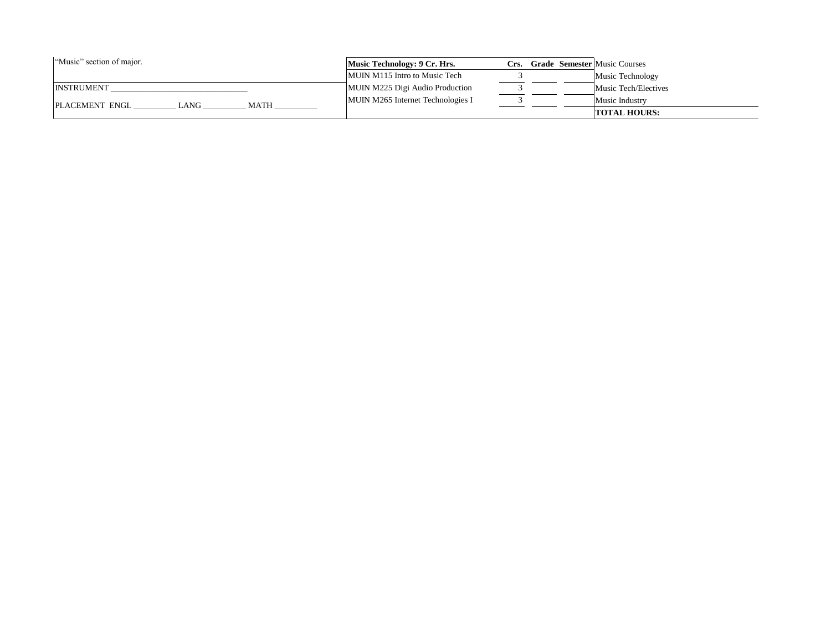| "Music" section of major.                   | Music Technology: 9 Cr. Hrs.      |  | Crs. - | <b>Grade Semester Music Courses</b> |
|---------------------------------------------|-----------------------------------|--|--------|-------------------------------------|
|                                             | MUIN M115 Intro to Music Tech     |  |        | Music Technology                    |
| <b>INSTRUMENT</b>                           | MUIN M225 Digi Audio Production   |  |        | Music Tech/Electives                |
| <b>PLACEMENT ENGL</b><br><b>MATH</b><br>ANG | MUIN M265 Internet Technologies I |  |        | Music Industry                      |
|                                             |                                   |  |        | <b>TOTAL HOURS:</b>                 |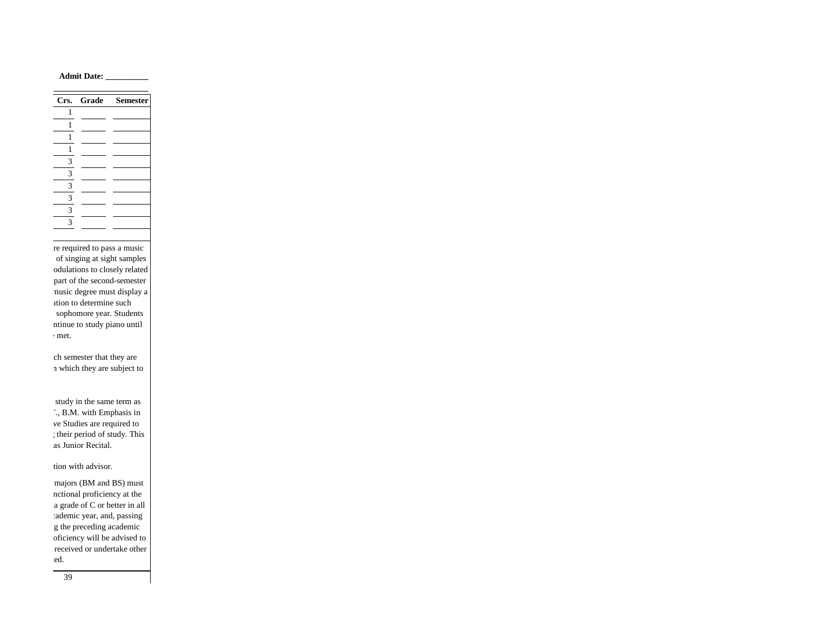**Admit Date: \_\_\_\_\_\_\_\_\_\_**

|   | Crs. Grade Semester |
|---|---------------------|
|   |                     |
|   |                     |
| 1 |                     |
| 1 |                     |
| 3 |                     |
| 3 |                     |
| 3 |                     |
| 3 |                     |
| 3 |                     |
| 3 |                     |

re required to pass a music of singing at sight samples odulations to closely related part of the second-semester music degree must display a ation to determine such sophomore year. Students ntinue to study piano until  $:$  met.

ch semester that they are n which they are subject to

study in the same term as  $\Gamma$  ., B.M. with Emphasis in ve Studies are required to ; their period of study. This as Junior Recital.

tion with advisor.

majors (BM and BS) must nctional proficiency at the a grade of C or better in all rademic year, and, passing g the preceding academic oficiency will be advised to received or undertake other ed.

39